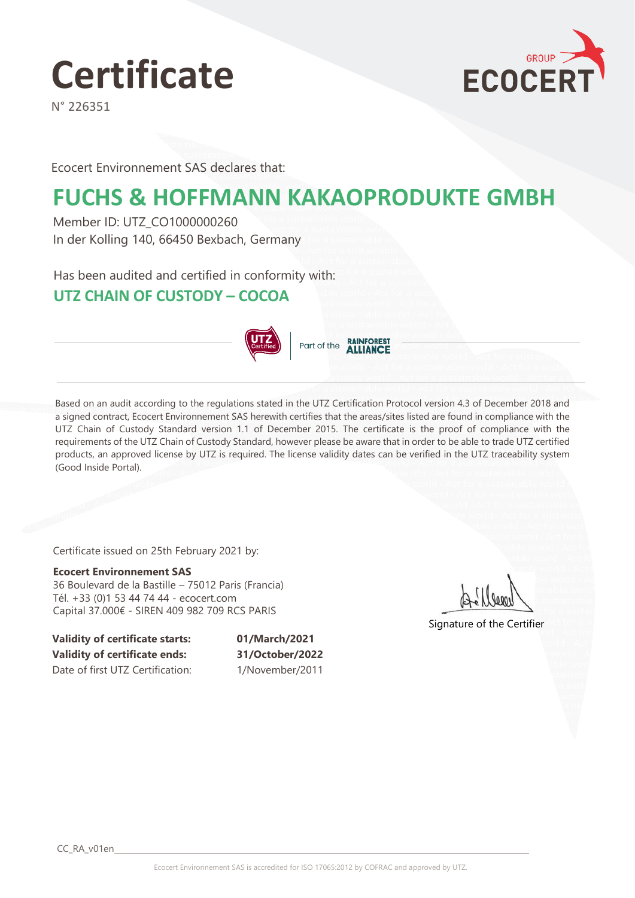

N° 226351



Ecocert Environnement SAS declares that:

# **FUCHS & HOFFMANN KAKAOPRODUKTE GMBH**

Member ID: UTZ\_CO1000000260 In der Kolling 140, 66450 Bexbach, Germany

Has been audited and certified in conformity with:

### **UTZ CHAIN OF CUSTODY – COCOA**



Part of the **RAINFOREST** 

Based on an audit according to the regulations stated in the UTZ Certification Protocol version 4.3 of December 2018 and a signed contract, Ecocert Environnement SAS herewith certifies that the areas/sites listed are found in compliance with the UTZ Chain of Custody Standard version 1.1 of December 2015. The certificate is the proof of compliance with the requirements of the UTZ Chain of Custody Standard, however please be aware that in order to be able to trade UTZ certified products, an approved license by UTZ is required. The license validity dates can be verified in the UTZ traceability system (Good Inside Portal).

Certificate issued on 25th February 2021 by:

**Ecocert Environnement SAS** 36 Boulevard de la Bastille – 75012 Paris (Francia) Tél. +33 (0)1 53 44 74 44 - ecocert.com Capital 37.000€ - SIREN 409 982 709 RCS PARIS

Signature of the Certifier

**Validity of certificate starts: 01/March/2021 Validity of certificate ends: 31/October/2022** Date of first UTZ Certification: 1/November/2011